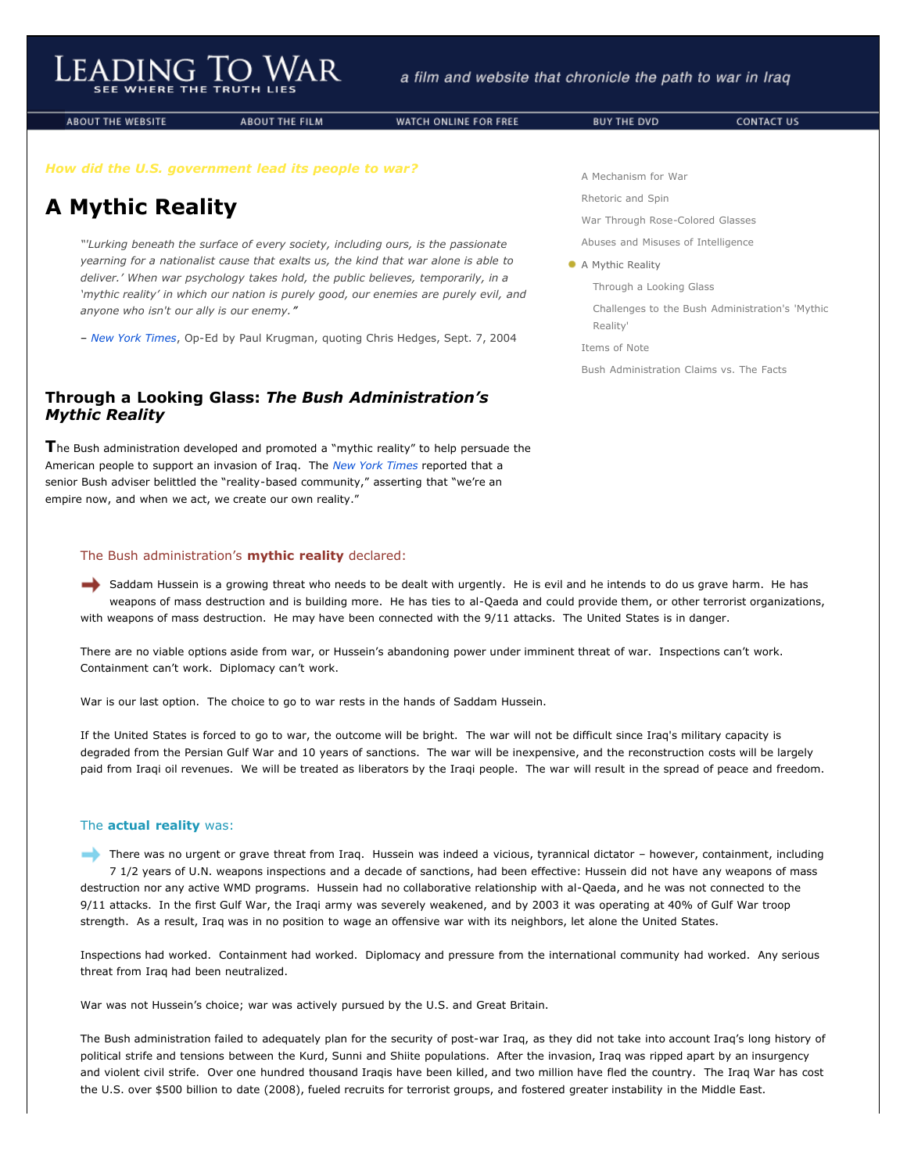**ABOUT THE WEBSITE** 

**ABOUT THE FILM** 

WATCH ONLINE FOR FREE

# *How did the U.S. government lead its people to war?*

# **A Mythic Reality**

*"'Lurking beneath the surface of every society, including ours, is the passionate yearning for a nationalist cause that exalts us, the kind that war alone is able to deliver.' When war psychology takes hold, the public believes, temporarily, in a 'mythic reality' in which our nation is purely good, our enemies are purely evil, and anyone who isn't our ally is our enemy."*

– *[New York Times](http://www.leadingtowar.com/PDFsources_mythic_reality/1_NYT.pdf)*, Op-Ed by Paul Krugman, quoting Chris Hedges, Sept. 7, 2004

# **Through a Looking Glass:** *The Bush Administration's Mythic Reality*

**T**he Bush administration developed and promoted a "mythic reality" to help persuade the American people to support an invasion of Iraq. The *[New York Times](http://www.leadingtowar.com/PDFsources_mythic_reality/2_NYT.pdf)* reported that a senior Bush adviser belittled the "reality-based community," asserting that "we're an empire now, and when we act, we create our own reality."

# The Bush administration's **mythic reality** declared:

Saddam Hussein is a growing threat who needs to be dealt with urgently. He is evil and he intends to do us grave harm. He has weapons of mass destruction and is building more. He has ties to al-Qaeda and could provide them, or other terrorist organizations, with weapons of mass destruction. He may have been connected with the 9/11 attacks. The United States is in danger.

There are no viable options aside from war, or Hussein's abandoning power under imminent threat of war. Inspections can't work. Containment can't work. Diplomacy can't work.

War is our last option. The choice to go to war rests in the hands of Saddam Hussein.

If the United States is forced to go to war, the outcome will be bright. The war will not be difficult since Iraq's military capacity is degraded from the Persian Gulf War and 10 years of sanctions. The war will be inexpensive, and the reconstruction costs will be largely paid from Iraqi oil revenues. We will be treated as liberators by the Iraqi people. The war will result in the spread of peace and freedom.

# The **actual reality** was:

There was no urgent or grave threat from Iraq. Hussein was indeed a vicious, tyrannical dictator - however, containment, including 7 1/2 years of U.N. weapons inspections and a decade of sanctions, had been effective: Hussein did not have any weapons of mass destruction nor any active WMD programs. Hussein had no collaborative relationship with al-Qaeda, and he was not connected to the 9/11 attacks. In the first Gulf War, the Iraqi army was severely weakened, and by 2003 it was operating at 40% of Gulf War troop strength. As a result, Iraq was in no position to wage an offensive war with its neighbors, let alone the United States.

Inspections had worked. Containment had worked. Diplomacy and pressure from the international community had worked. Any serious threat from Iraq had been neutralized.

War was not Hussein's choice; war was actively pursued by the U.S. and Great Britain.

The Bush administration failed to adequately plan for the security of post-war Iraq, as they did not take into account Iraq's long history of political strife and tensions between the Kurd, Sunni and Shiite populations. After the invasion, Iraq was ripped apart by an insurgency and violent civil strife. Over one hundred thousand Iraqis have been killed, and two million have fled the country. The Iraq War has cost the U.S. over \$500 billion to date (2008), fueled recruits for terrorist groups, and fostered greater instability in the Middle East.

[A Mechanism for War](http://www.leadingtowar.com/mechanism_war.php)

[Rhetoric and Spin](http://www.leadingtowar.com/rhetoric_spin.php)

[War Through Rose-Colored Glasses](http://www.leadingtowar.com/war_rosecolored.php)

[Abuses and Misuses of Intelligence](http://www.leadingtowar.com/abuses_misuses.php)

#### **A** Mythic Reality

[Through a Looking Glass](http://www.leadingtowar.com/mythic_reality.php#lookingglass)

[Challenges to the Bush Administration's 'Mythic](http://www.leadingtowar.com/mythic_reality.php#challenges) Reality'

[Items of Note](http://www.leadingtowar.com/items_note.php)

[Bush Administration Claims vs. The Facts](http://www.leadingtowar.com/claims_facts.php)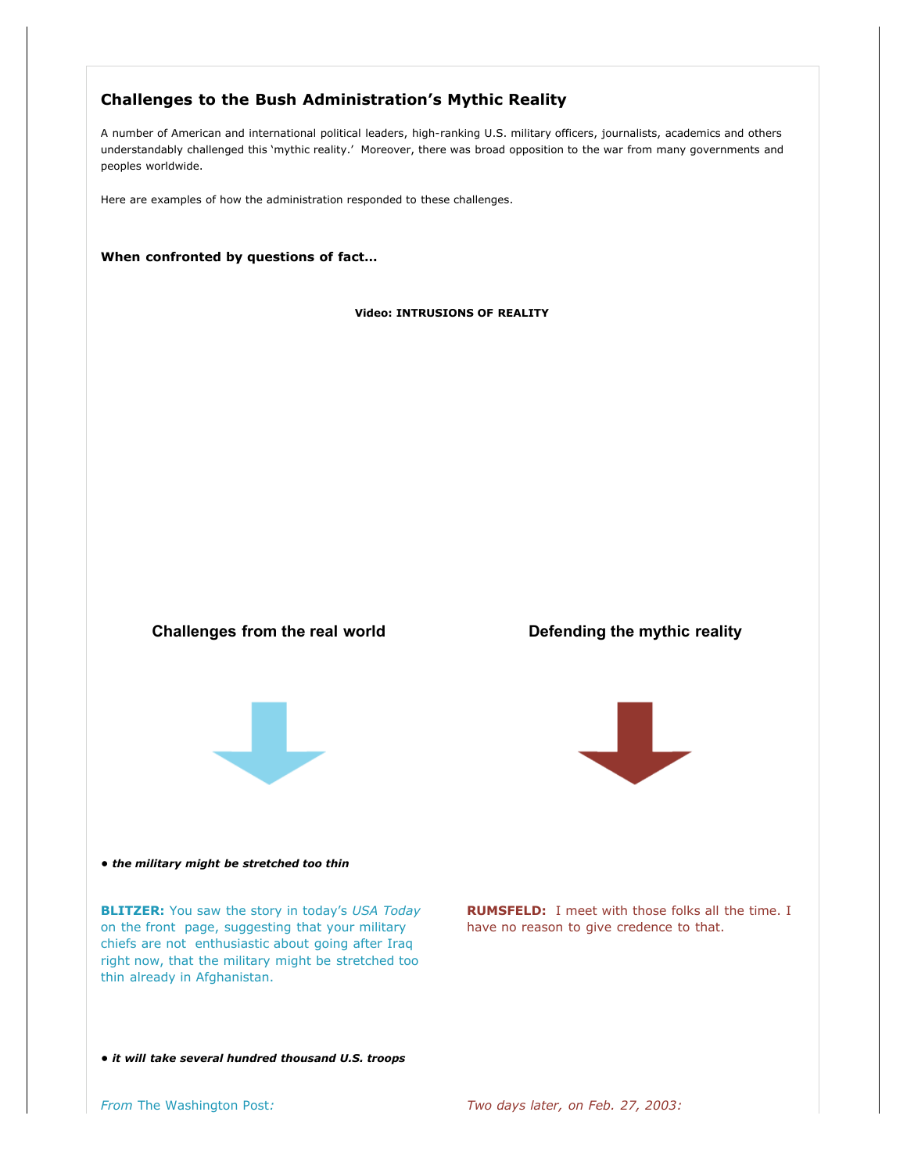# **Challenges to the Bush Administration's Mythic Reality**

A number of American and international political leaders, high-ranking U.S. military officers, journalists, academics and others understandably challenged this 'mythic reality.' Moreover, there was broad opposition to the war from many governments and peoples worldwide.

Here are examples of how the administration responded to these challenges.

**When confronted by questions of fact…**

# **Video: INTRUSIONS OF REALITY**

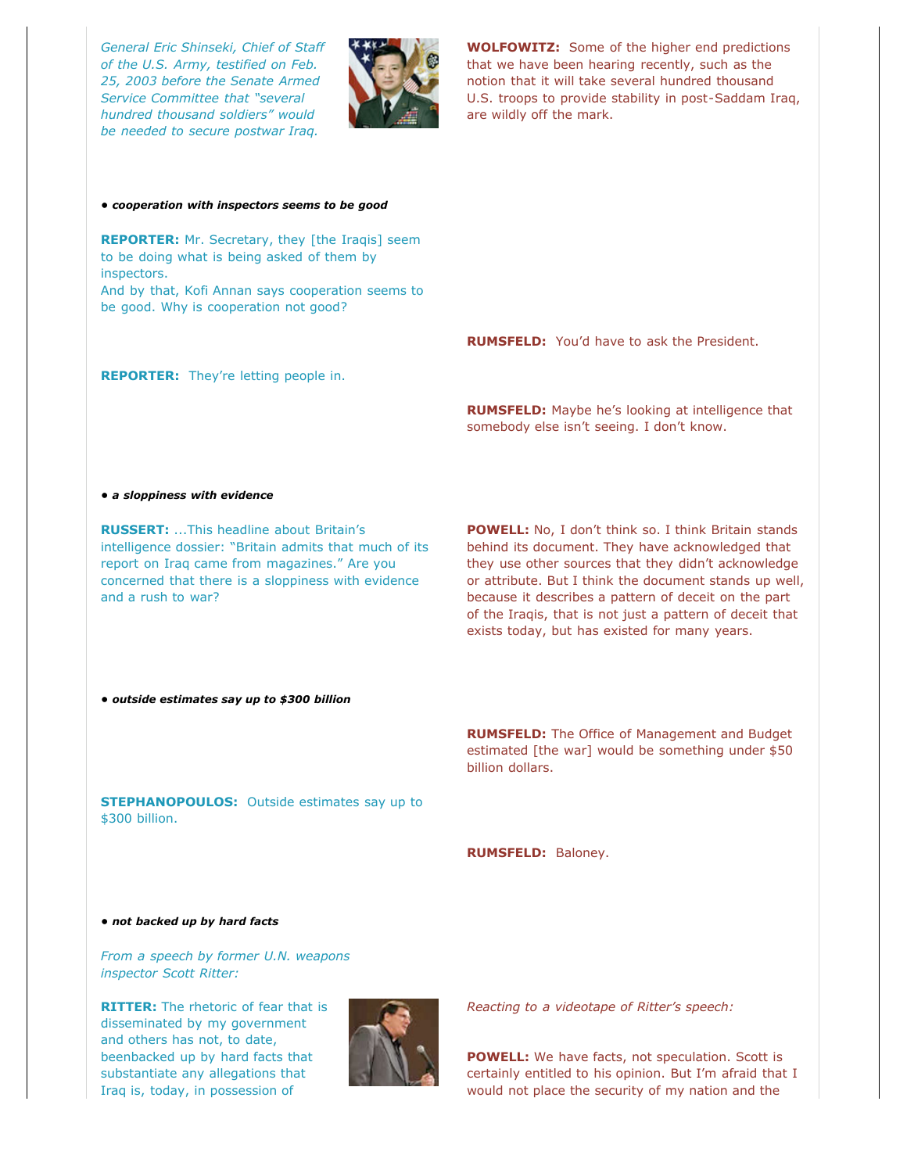*General Eric Shinseki, Chief of Staff of the U.S. Army, testified on Feb. 25, 2003 before the Senate Armed Service Committee that "several hundred thousand soldiers" would be needed to secure postwar Iraq.*



**WOLFOWITZ:** Some of the higher end predictions that we have been hearing recently, such as the notion that it will take several hundred thousand U.S. troops to provide stability in post-Saddam Iraq, are wildly off the mark.

### *• cooperation with inspectors seems to be good*

**REPORTER:** Mr. Secretary, they [the Iraqis] seem to be doing what is being asked of them by inspectors. And by that, Kofi Annan says cooperation seems to be good. Why is cooperation not good?

**RUMSFELD:** You'd have to ask the President.

# **REPORTER:** They're letting people in.

**RUMSFELD:** Maybe he's looking at intelligence that somebody else isn't seeing. I don't know.

# *• a sloppiness with evidence*

**RUSSERT:** ...This headline about Britain's intelligence dossier: "Britain admits that much of its report on Iraq came from magazines." Are you concerned that there is a sloppiness with evidence and a rush to war?

POWELL: No, I don't think so. I think Britain stands behind its document. They have acknowledged that they use other sources that they didn't acknowledge or attribute. But I think the document stands up well, because it describes a pattern of deceit on the part of the Iraqis, that is not just a pattern of deceit that exists today, but has existed for many years.

# *• outside estimates say up to \$300 billion*

**RUMSFELD:** The Office of Management and Budget estimated [the war] would be something under \$50 billion dollars. **STEPHANOPOULOS:** Outside estimates say up to

**RUMSFELD:** Baloney.

#### *• not backed up by hard facts*

\$300 billion.

*From a speech by former U.N. weapons inspector Scott Ritter:* 

**RITTER:** The rhetoric of fear that is disseminated by my government and others has not, to date, beenbacked up by hard facts that substantiate any allegations that Iraq is, today, in possession of



*Reacting to a videotape of Ritter's speech:*

**POWELL:** We have facts, not speculation. Scott is certainly entitled to his opinion. But I'm afraid that I would not place the security of my nation and the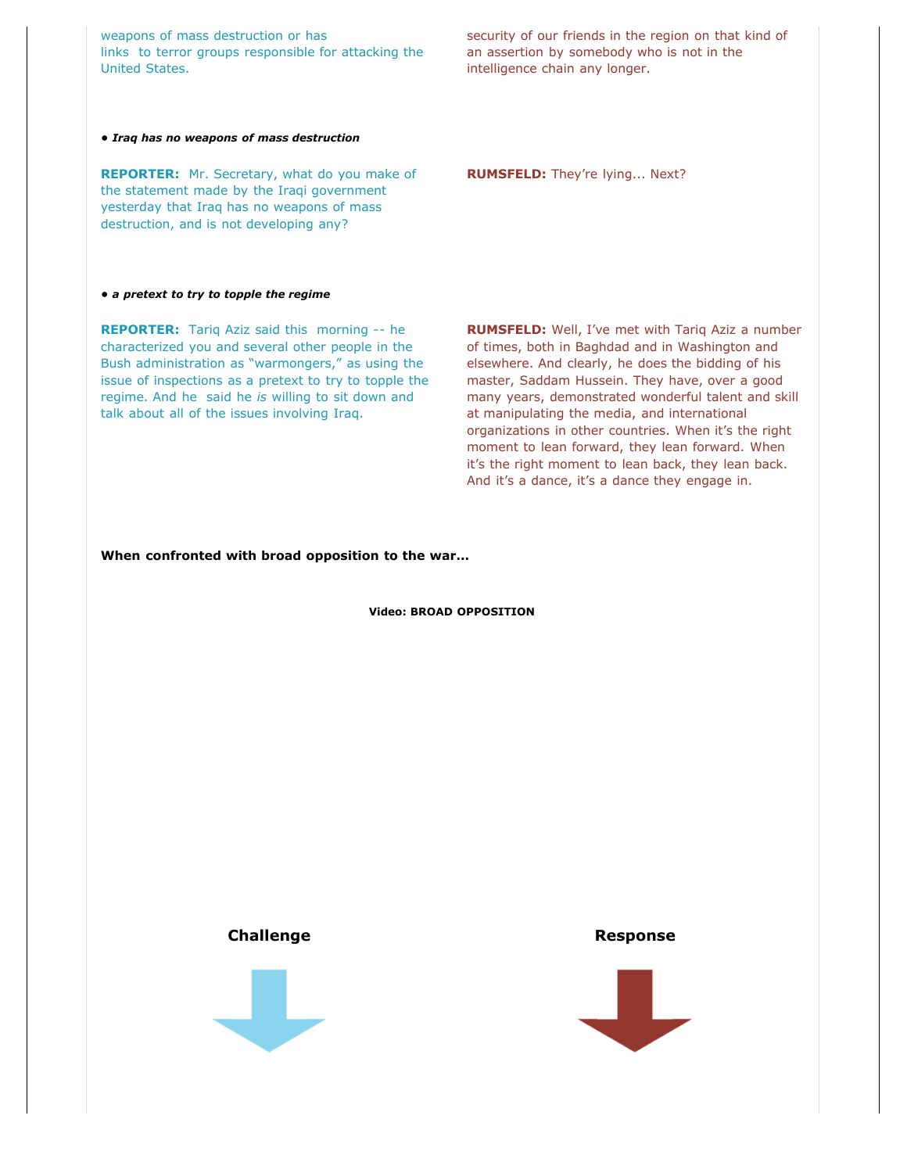weapons of mass destruction or has links to terror groups responsible for attacking the United States.

security of our friends in the region on that kind of an assertion by somebody who is not in the intelligence chain any longer.

**RUMSFELD:** They're lying... Next?

*• Iraq has no weapons of mass destruction*

**REPORTER:** Mr. Secretary, what do you make of the statement made by the Iraqi government yesterday that Iraq has no weapons of mass destruction, and is not developing any?

# *• a pretext to try to topple the regime*

**REPORTER:** Tariq Aziz said this morning -- he characterized you and several other people in the Bush administration as "warmongers," as using the issue of inspections as a pretext to try to topple the regime. And he said he *is* willing to sit down and talk about all of the issues involving Iraq.

**RUMSFELD:** Well, I've met with Tariq Aziz a number of times, both in Baghdad and in Washington and elsewhere. And clearly, he does the bidding of his master, Saddam Hussein. They have, over a good many years, demonstrated wonderful talent and skill at manipulating the media, and international organizations in other countries. When it's the right moment to lean forward, they lean forward. When it's the right moment to lean back, they lean back. And it's a dance, it's a dance they engage in.

# **When confronted with broad opposition to the war…**

# **Video: BROAD OPPOSITION**



**Challenge Response**